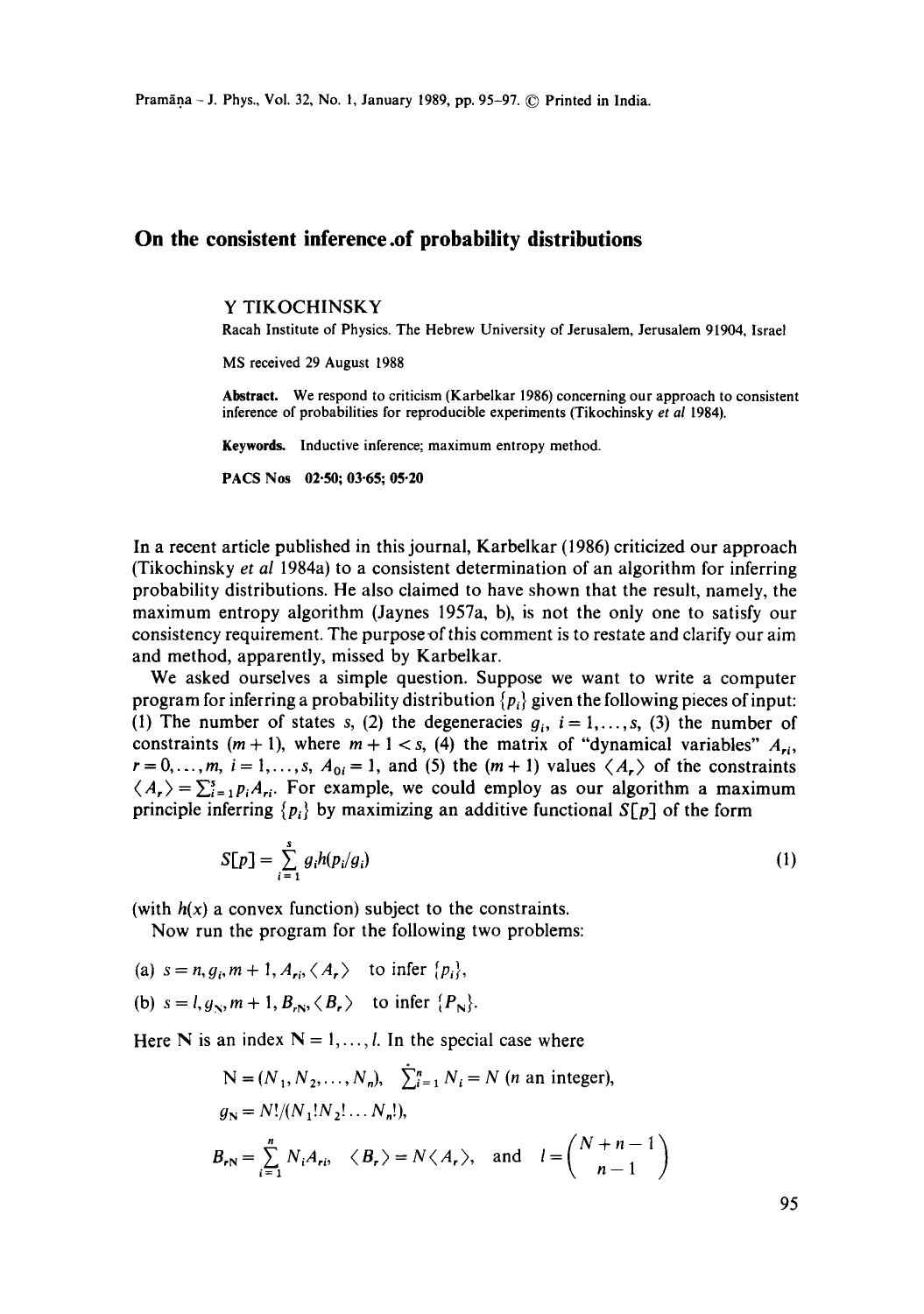## **On the consistent inference .of probability distributions**

#### Y TIKOCHINSKY

Racah Institute of Physics. The Hebrew University of Jerusalem, Jerusalem 91904, Israel

MS received 29 August 1988

**Abstract.** We respond to criticism (Karbelkar 1986) concerning our approach to consistent inference of probabilities for reproducible experiments (Tikochinsky *et al* 1984).

Keywords. Inductive inference; maximum entropy method.

PACS Nos 02.50; 03-65; 05.20

In a recent article published in this journal, Karbelkar (1986) criticized our approach (Tikochinsky *et al* 1984a) to a consistent determination of an algorithm for inferring probability distributions. He also claimed to have shown that the result, namely, the maximum entropy algorithm (Jaynes 1957a, b), is not the only one to satisfy our consistency requirement. The purpose of this comment is to restate and clarify our aim and method, apparently, missed by Karbelkar.

We asked ourselves a simple question. Suppose we want to write a computer program for inferring a probability distribution  $\{p_i\}$  given the following pieces of input: (1) The number of states s, (2) the degeneracies  $g_i$ ,  $i = 1, \ldots, s$ , (3) the number of constraints  $(m + 1)$ , where  $m + 1 < s$ , (4) the matrix of "dynamical variables"  $A_{ri}$ ,  $r = 0, \ldots, m$ ,  $i = 1, \ldots, s$ ,  $A_{0i} = 1$ , and (5) the  $(m + 1)$  values  $\langle A_r \rangle$  of the constraints  $\langle A_{r} \rangle = \sum_{i=1}^{s} p_{i} A_{ri}$ . For example, we could employ as our algorithm a maximum principle inferring  $\{p_i\}$  by maximizing an additive functional  $S[p]$  of the form

$$
S[p] = \sum_{i=1}^{s} g_i h(p_i/g_i)
$$
 (1)

(with  $h(x)$  a convex function) subject to the constraints.

Now run the program for the following two problems:

(a)  $s = n$ ,  $g_i$ ,  $m + 1$ ,  $A_{ri} \langle A_r \rangle$  to infer  $\{p_i\}$ , (b)  $s = l, g_N, m+1, B_{rN}, \langle B_r \rangle$  to infer  $\{P_N\}$ .

Here N is an index  $N = 1, ..., l$ . In the special case where

$$
N = (N_1, N_2, \dots, N_n), \quad \sum_{i=1}^n N_i = N \text{ (}n \text{ an integer),}
$$
\n
$$
g_N = N!/(N_1!N_2! \dots N_n!),
$$
\n
$$
B_{rN} = \sum_{i=1}^n N_i A_{r_i}, \quad \langle B_r \rangle = N \langle A_r \rangle, \quad \text{and} \quad l = \binom{N+n-1}{n-1}
$$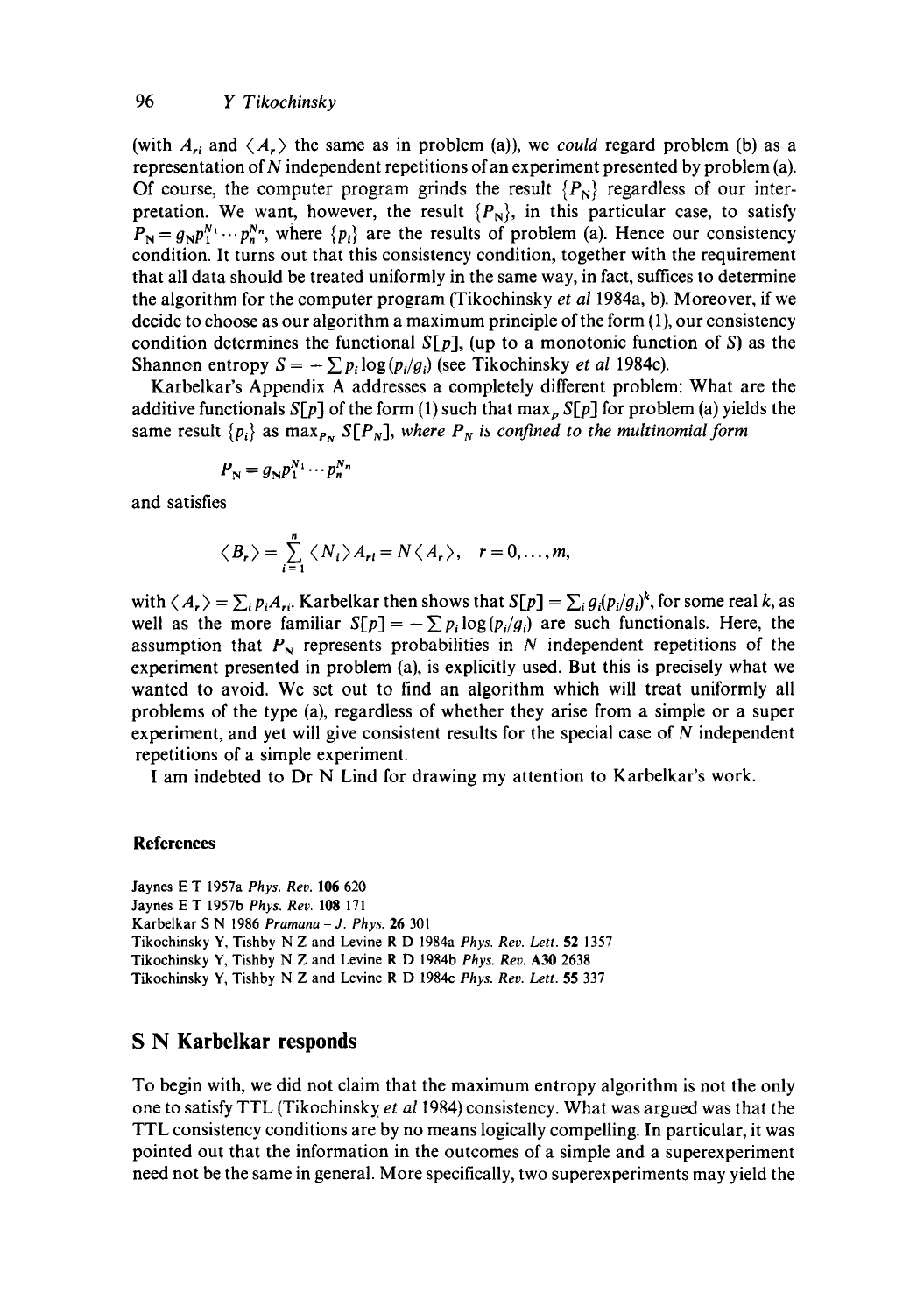(with  $A_{ri}$  and  $\langle A_{r} \rangle$  the same as in problem (a)), we *could* regard problem (b) as a representation of N independent repetitions of an experiment presented by problem (a). Of course, the computer program grinds the result  ${P_N}$  regardless of our interpretation. We want, however, the result  $\{P_N\}$ , in this particular case, to satisfy  $P_N = g_N p_1^{N_1} \cdots p_n^{N_n}$ , where  $\{p_i\}$  are the results of problem (a). Hence our consistency condition. It turns out that this consistency condition, together with the requirement that all data should be treated uniformly in the same way, in fact, suffices to determine the algorithm for the computer program (Tikochinsky *et al* 1984a, b). Moreover, if we decide to choose as our algorithm a maximum principle of the form (1), our consistency condition determines the functional  $S[p]$ , (up to a monotonic function of S) as the Shannon entropy  $S = -\sum p_i \log (p_i/g_i)$  (see Tikochinsky *et al* 1984c).

Karbelkar's Appendix A addresses a completely different problem: What are the additive functionals *S*[*p*] of the form (1) such that max<sub>p</sub> *S*[*p*] for problem (a) yields the same result  $\{p_i\}$  as max $_{P_N}$  S[ $P_N$ ], where  $P_N$  is confined to the multinomial form

$$
P_{\mathbf{N}}=g_{\mathbf{N}}p_1^{N_1}\cdots p_n^{N_n}
$$

and satisfies

$$
\langle B_r \rangle = \sum_{i=1}^n \langle N_i \rangle A_{ri} = N \langle A_r \rangle, \quad r = 0, ..., m,
$$

with  $\langle A_r \rangle = \sum_i p_i A_{ri}$ . Karbelkar then shows that  $S[p] = \sum_i g_i (p_i / g_i)^k$ , for some real k, as well as the more familiar  $S[p] = -\sum p_i \log(p_i/q_i)$  are such functionals. Here, the assumption that  $P_N$  represents probabilities in N independent repetitions of the experiment presented in problem (a), is explicitly used. But this is precisely what we wanted to avoid. We set out to find an algorithm which will treat uniformly all problems of the type (a), regardless of whether they arise from a simple or a super experiment, and yet will give consistent results for the special case of N independent repetitions of a simple experiment.

I am indebted to Dr N Lind for drawing my attention to Karbelkar's work.

### **References**

Jaynes E T 1957a *Phys. Rev.* 106 620 Jaynes E T 1957b *Phys. Rev.* 108 171 Karbelkar S N 1986 *Pramana - J. Phys.* 26 301 Tikochinsky Y, Tishby N Z and Levine R D 1984a *Phys. Rev. Lett.* 52 1357 Tikochinsky Y, Tishby N Z and Levine R D 1984b *Phys. Rev.* A30 2638 Tikochinsky Y, Tishby N Z and Levine R D 1984c *Phys. Rev. Lett.* 55 337

# **S N Karbelkar responds**

To begin with, we did not claim that the maximum entropy algorithm is not the only one to satisfy TTL (Tikochinsky *et al* 1984) consistency. What was argued was that the TTL consistency conditions are by no means logically compelling. In particular, it was pointed out that the information in the outcomes of a simple and a superexperiment need not be the same in general. More specifically, two superexperiments may yield the